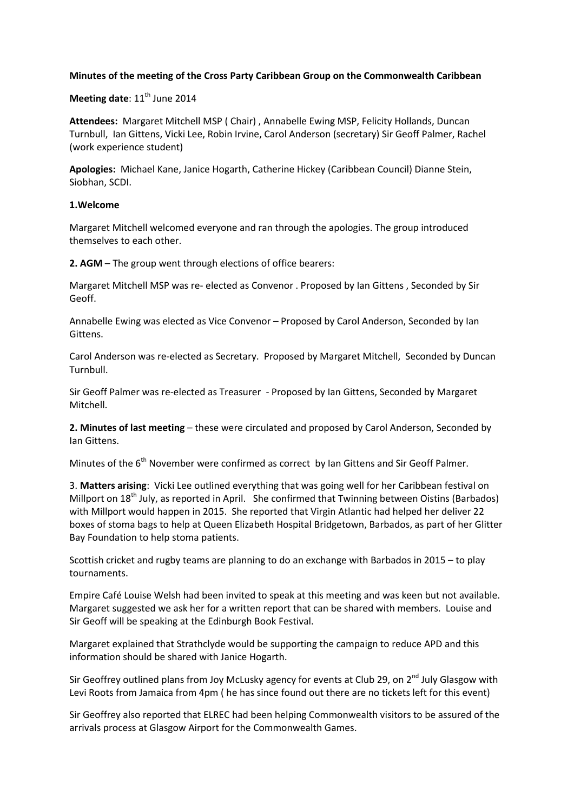## **Minutes of the meeting of the Cross Party Caribbean Group on the Commonwealth Caribbean**

**Meeting date:** 11<sup>th</sup> June 2014

**Attendees:** Margaret Mitchell MSP ( Chair) , Annabelle Ewing MSP, Felicity Hollands, Duncan Turnbull, Ian Gittens, Vicki Lee, Robin Irvine, Carol Anderson (secretary) Sir Geoff Palmer, Rachel (work experience student)

**Apologies:** Michael Kane, Janice Hogarth, Catherine Hickey (Caribbean Council) Dianne Stein, Siobhan, SCDI.

### **1.Welcome**

Margaret Mitchell welcomed everyone and ran through the apologies. The group introduced themselves to each other.

**2. AGM** – The group went through elections of office bearers:

Margaret Mitchell MSP was re- elected as Convenor . Proposed by Ian Gittens , Seconded by Sir Geoff.

Annabelle Ewing was elected as Vice Convenor – Proposed by Carol Anderson, Seconded by Ian Gittens.

Carol Anderson was re-elected as Secretary. Proposed by Margaret Mitchell, Seconded by Duncan Turnbull.

Sir Geoff Palmer was re-elected as Treasurer - Proposed by Ian Gittens, Seconded by Margaret Mitchell.

**2. Minutes of last meeting** – these were circulated and proposed by Carol Anderson, Seconded by Ian Gittens.

Minutes of the 6<sup>th</sup> November were confirmed as correct by Ian Gittens and Sir Geoff Palmer.

3. **Matters arising**: Vicki Lee outlined everything that was going well for her Caribbean festival on Millport on 18<sup>th</sup> July, as reported in April. She confirmed that Twinning between Oistins (Barbados) with Millport would happen in 2015. She reported that Virgin Atlantic had helped her deliver 22 boxes of stoma bags to help at Queen Elizabeth Hospital Bridgetown, Barbados, as part of her Glitter Bay Foundation to help stoma patients.

Scottish cricket and rugby teams are planning to do an exchange with Barbados in 2015 – to play tournaments.

Empire Café Louise Welsh had been invited to speak at this meeting and was keen but not available. Margaret suggested we ask her for a written report that can be shared with members. Louise and Sir Geoff will be speaking at the Edinburgh Book Festival.

Margaret explained that Strathclyde would be supporting the campaign to reduce APD and this information should be shared with Janice Hogarth.

Sir Geoffrey outlined plans from Joy McLusky agency for events at Club 29, on 2<sup>nd</sup> July Glasgow with Levi Roots from Jamaica from 4pm ( he has since found out there are no tickets left for this event)

Sir Geoffrey also reported that ELREC had been helping Commonwealth visitors to be assured of the arrivals process at Glasgow Airport for the Commonwealth Games.